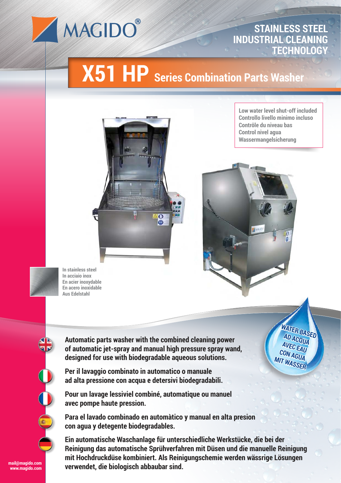

## **STAINLESS STEEL INDUSTRIAL CLEANING TECHNOLOGY**

## **X51 HP Series Combination Parts Washer**



**Low water level shut-off included Controllo livello minimo incluso Contrôle du niveau bas Control nivel agua Wassermangelsicherung**

> **WATER BASED AD ACQUA AVEC EAU CON AGUA MIT WASSER**



**In stainless steel In acciaio inox En acier inoxydable En acero inoxidable Aus Edelstahl**

**Automatic parts washer with the combined cleaning power of automatic jet-spray and manual high pressure spray wand, designed for use with biodegradable aqueous solutions.**

**Per il lavaggio combinato in automatico o manuale ad alta pressione con acqua e detersivi biodegradabili.**



**www.magido.com**

**Pour un lavage lessiviel combiné, automatique ou manuel avec pompe haute pression.**

**Para el lavado combinado en automàtico y manual en alta presion con agua y detegente biodegradables.**

**Ein automatische Waschanlage für unterschiedliche Werkstücke, die bei der Reinigung das automatische Sprühverfahren mit Düsen und die manuelle Reinigung mit Hochdruckdüse kombiniert. Als Reinigungschemie werden wässrige Lösungen verwendet, die biologisch abbaubar sind.**